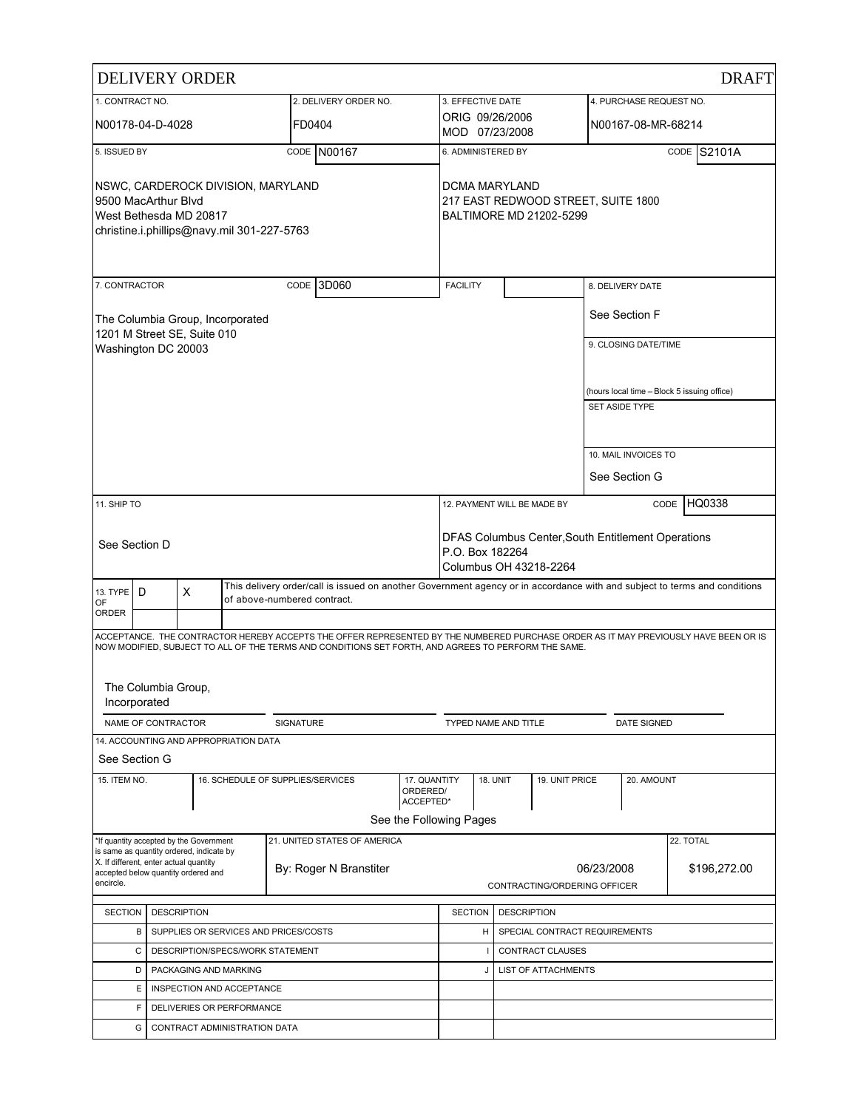|                                                                                                                                   |                                                                                    | <b>DELIVERY ORDER</b>                                                                                                                                         |                                       |                                                                                                     |                                                                                                 |                                   |                  |                |  |                         | <b>DRAFT</b>                                                                                                                        |
|-----------------------------------------------------------------------------------------------------------------------------------|------------------------------------------------------------------------------------|---------------------------------------------------------------------------------------------------------------------------------------------------------------|---------------------------------------|-----------------------------------------------------------------------------------------------------|-------------------------------------------------------------------------------------------------|-----------------------------------|------------------|----------------|--|-------------------------|-------------------------------------------------------------------------------------------------------------------------------------|
| 1. CONTRACT NO.                                                                                                                   |                                                                                    |                                                                                                                                                               |                                       | 2. DELIVERY ORDER NO.                                                                               |                                                                                                 | 3. EFFECTIVE DATE                 |                  |                |  | 4. PURCHASE REQUEST NO. |                                                                                                                                     |
|                                                                                                                                   | N00178-04-D-4028                                                                   |                                                                                                                                                               |                                       | FD0404                                                                                              |                                                                                                 | ORIG 09/26/2006<br>MOD 07/23/2008 |                  |                |  | N00167-08-MR-68214      |                                                                                                                                     |
| 5. ISSUED BY                                                                                                                      |                                                                                    |                                                                                                                                                               |                                       | CODE N00167                                                                                         |                                                                                                 | 6. ADMINISTERED BY                |                  |                |  |                         | CODE S2101A                                                                                                                         |
| NSWC, CARDEROCK DIVISION, MARYLAND<br>9500 MacArthur Blvd<br>West Bethesda MD 20817<br>christine.i.phillips@navy.mil 301-227-5763 |                                                                                    | DCMA MARYLAND                                                                                                                                                 |                                       | 217 EAST REDWOOD STREET, SUITE 1800<br>BALTIMORE MD 21202-5299                                      |                                                                                                 |                                   |                  |                |  |                         |                                                                                                                                     |
| 7. CONTRACTOR                                                                                                                     |                                                                                    |                                                                                                                                                               |                                       | 13D060<br>CODE                                                                                      |                                                                                                 | <b>FACILITY</b>                   |                  |                |  | 8. DELIVERY DATE        |                                                                                                                                     |
|                                                                                                                                   |                                                                                    | 1201 M Street SE, Suite 010                                                                                                                                   | The Columbia Group, Incorporated      |                                                                                                     |                                                                                                 |                                   |                  |                |  | See Section F           |                                                                                                                                     |
|                                                                                                                                   | Washington DC 20003                                                                |                                                                                                                                                               |                                       |                                                                                                     |                                                                                                 |                                   |                  |                |  | 9. CLOSING DATE/TIME    |                                                                                                                                     |
|                                                                                                                                   |                                                                                    |                                                                                                                                                               |                                       |                                                                                                     |                                                                                                 |                                   |                  |                |  |                         |                                                                                                                                     |
|                                                                                                                                   |                                                                                    |                                                                                                                                                               |                                       |                                                                                                     |                                                                                                 |                                   |                  |                |  | SET ASIDE TYPE          | (hours local time - Block 5 issuing office)                                                                                         |
|                                                                                                                                   |                                                                                    |                                                                                                                                                               |                                       |                                                                                                     |                                                                                                 |                                   |                  |                |  |                         |                                                                                                                                     |
|                                                                                                                                   |                                                                                    |                                                                                                                                                               |                                       |                                                                                                     |                                                                                                 |                                   |                  |                |  | 10. MAIL INVOICES TO    |                                                                                                                                     |
|                                                                                                                                   |                                                                                    |                                                                                                                                                               |                                       |                                                                                                     |                                                                                                 |                                   |                  |                |  | See Section G           |                                                                                                                                     |
| 11. SHIP TO                                                                                                                       |                                                                                    |                                                                                                                                                               |                                       |                                                                                                     |                                                                                                 |                                   |                  |                |  |                         | HQ0338<br>CODE                                                                                                                      |
|                                                                                                                                   |                                                                                    |                                                                                                                                                               |                                       |                                                                                                     |                                                                                                 | 12. PAYMENT WILL BE MADE BY       |                  |                |  |                         |                                                                                                                                     |
|                                                                                                                                   | See Section D                                                                      |                                                                                                                                                               |                                       |                                                                                                     | DFAS Columbus Center, South Entitlement Operations<br>P.O. Box 182264<br>Columbus OH 43218-2264 |                                   |                  |                |  |                         |                                                                                                                                     |
| 13. TYPE<br>OF                                                                                                                    | D                                                                                  | This delivery order/call is issued on another Government agency or in accordance with and subject to terms and conditions<br>X<br>of above-numbered contract. |                                       |                                                                                                     |                                                                                                 |                                   |                  |                |  |                         |                                                                                                                                     |
| ORDER                                                                                                                             |                                                                                    |                                                                                                                                                               |                                       |                                                                                                     |                                                                                                 |                                   |                  |                |  |                         |                                                                                                                                     |
|                                                                                                                                   |                                                                                    |                                                                                                                                                               |                                       | NOW MODIFIED, SUBJECT TO ALL OF THE TERMS AND CONDITIONS SET FORTH, AND AGREES TO PERFORM THE SAME. |                                                                                                 |                                   |                  |                |  |                         | ACCEPTANCE. THE CONTRACTOR HEREBY ACCEPTS THE OFFER REPRESENTED BY THE NUMBERED PURCHASE ORDER AS IT MAY PREVIOUSLY HAVE BEEN OR IS |
|                                                                                                                                   | The Columbia Group,<br>Incorporated                                                |                                                                                                                                                               |                                       |                                                                                                     |                                                                                                 |                                   |                  |                |  |                         |                                                                                                                                     |
|                                                                                                                                   | NAME OF CONTRACTOR                                                                 |                                                                                                                                                               |                                       | SIGNATURE                                                                                           |                                                                                                 | <b>TYPED NAME AND TITLE</b>       |                  |                |  | <b>DATE SIGNED</b>      |                                                                                                                                     |
| See Section G                                                                                                                     |                                                                                    |                                                                                                                                                               | 14. ACCOUNTING AND APPROPRIATION DATA |                                                                                                     |                                                                                                 |                                   |                  |                |  |                         |                                                                                                                                     |
| 15. ITEM NO.                                                                                                                      |                                                                                    |                                                                                                                                                               |                                       | 16. SCHEDULE OF SUPPLIES/SERVICES                                                                   | 17. QUANTITY<br>ORDERED/<br>ACCEPTED*                                                           |                                   | <b>18. UNIT</b>  | 19. UNIT PRICE |  | 20. AMOUNT              |                                                                                                                                     |
|                                                                                                                                   |                                                                                    |                                                                                                                                                               |                                       |                                                                                                     | See the Following Pages                                                                         |                                   |                  |                |  |                         |                                                                                                                                     |
|                                                                                                                                   |                                                                                    | *If quantity accepted by the Government                                                                                                                       |                                       | 21. UNITED STATES OF AMERICA                                                                        |                                                                                                 |                                   |                  |                |  |                         | 22. TOTAL                                                                                                                           |
|                                                                                                                                   | is same as quantity ordered, indicate by<br>X. If different, enter actual quantity |                                                                                                                                                               |                                       |                                                                                                     |                                                                                                 |                                   |                  |                |  |                         |                                                                                                                                     |
| By: Roger N Branstiter<br>accepted below quantity ordered and<br>encircle.                                                        |                                                                                    |                                                                                                                                                               |                                       |                                                                                                     | CONTRACTING/ORDERING OFFICER                                                                    | 06/23/2008                        |                  | \$196,272.00   |  |                         |                                                                                                                                     |
|                                                                                                                                   |                                                                                    |                                                                                                                                                               |                                       |                                                                                                     |                                                                                                 |                                   |                  |                |  |                         |                                                                                                                                     |
|                                                                                                                                   | <b>DESCRIPTION</b><br><b>SECTION</b>                                               |                                                                                                                                                               |                                       |                                                                                                     | <b>SECTION</b><br><b>DESCRIPTION</b><br>SPECIAL CONTRACT REQUIREMENTS<br>н                      |                                   |                  |                |  |                         |                                                                                                                                     |
|                                                                                                                                   | В<br>C                                                                             | SUPPLIES OR SERVICES AND PRICES/COSTS                                                                                                                         |                                       |                                                                                                     |                                                                                                 |                                   | CONTRACT CLAUSES |                |  |                         |                                                                                                                                     |
|                                                                                                                                   | DESCRIPTION/SPECS/WORK STATEMENT<br>PACKAGING AND MARKING<br>D                     |                                                                                                                                                               |                                       | J                                                                                                   |                                                                                                 | <b>LIST OF ATTACHMENTS</b>        |                  |                |  |                         |                                                                                                                                     |
|                                                                                                                                   | Ε<br>INSPECTION AND ACCEPTANCE                                                     |                                                                                                                                                               |                                       |                                                                                                     |                                                                                                 |                                   |                  |                |  |                         |                                                                                                                                     |
|                                                                                                                                   | F                                                                                  | DELIVERIES OR PERFORMANCE                                                                                                                                     |                                       |                                                                                                     |                                                                                                 |                                   |                  |                |  |                         |                                                                                                                                     |
|                                                                                                                                   | G                                                                                  |                                                                                                                                                               | CONTRACT ADMINISTRATION DATA          |                                                                                                     |                                                                                                 |                                   |                  |                |  |                         |                                                                                                                                     |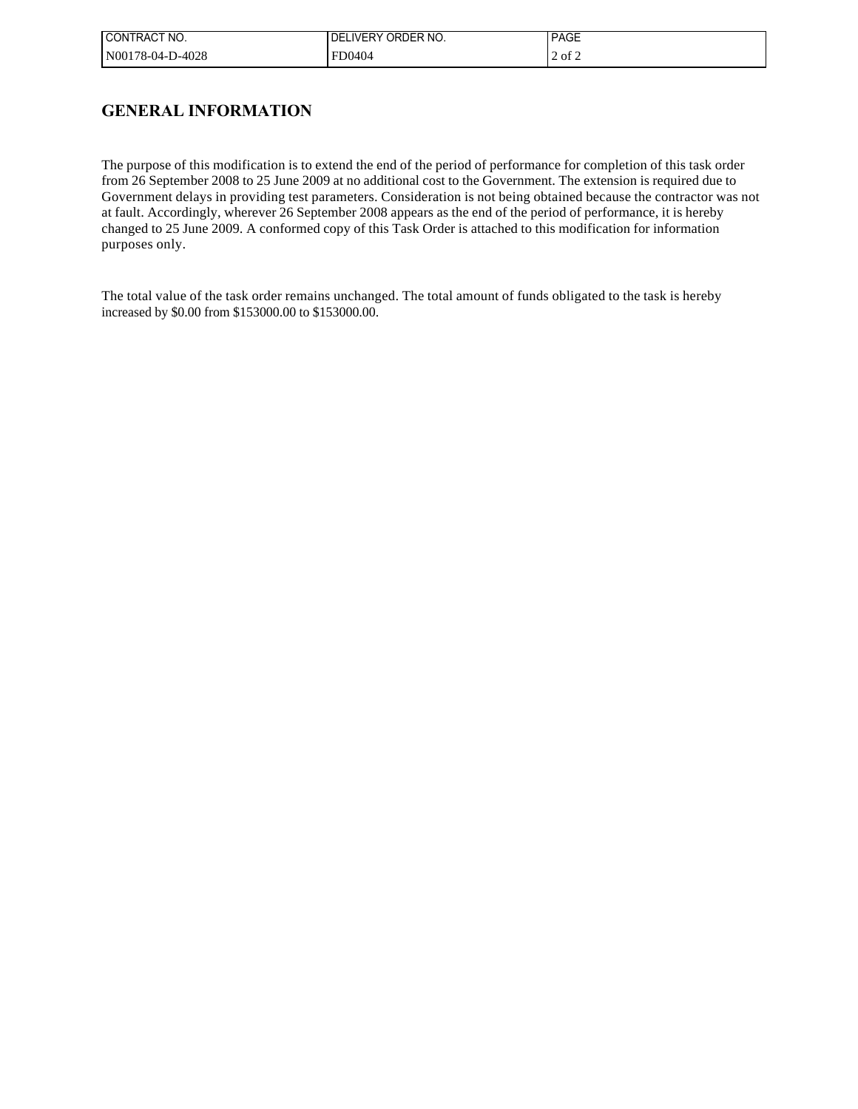| CONTRACT NO.     | '.IVERY ORDER NO.<br>DEI | <b>PAGE</b> |
|------------------|--------------------------|-------------|
| N00178-04-D-4028 | FD0404                   | 2 of 2      |

## **GENERAL INFORMATION**

The purpose of this modification is to extend the end of the period of performance for completion of this task order from 26 September 2008 to 25 June 2009 at no additional cost to the Government. The extension is required due to Government delays in providing test parameters. Consideration is not being obtained because the contractor was not at fault. Accordingly, wherever 26 September 2008 appears as the end of the period of performance, it is hereby changed to 25 June 2009. A conformed copy of this Task Order is attached to this modification for information purposes only.

The total value of the task order remains unchanged. The total amount of funds obligated to the task is hereby increased by \$0.00 from \$153000.00 to \$153000.00.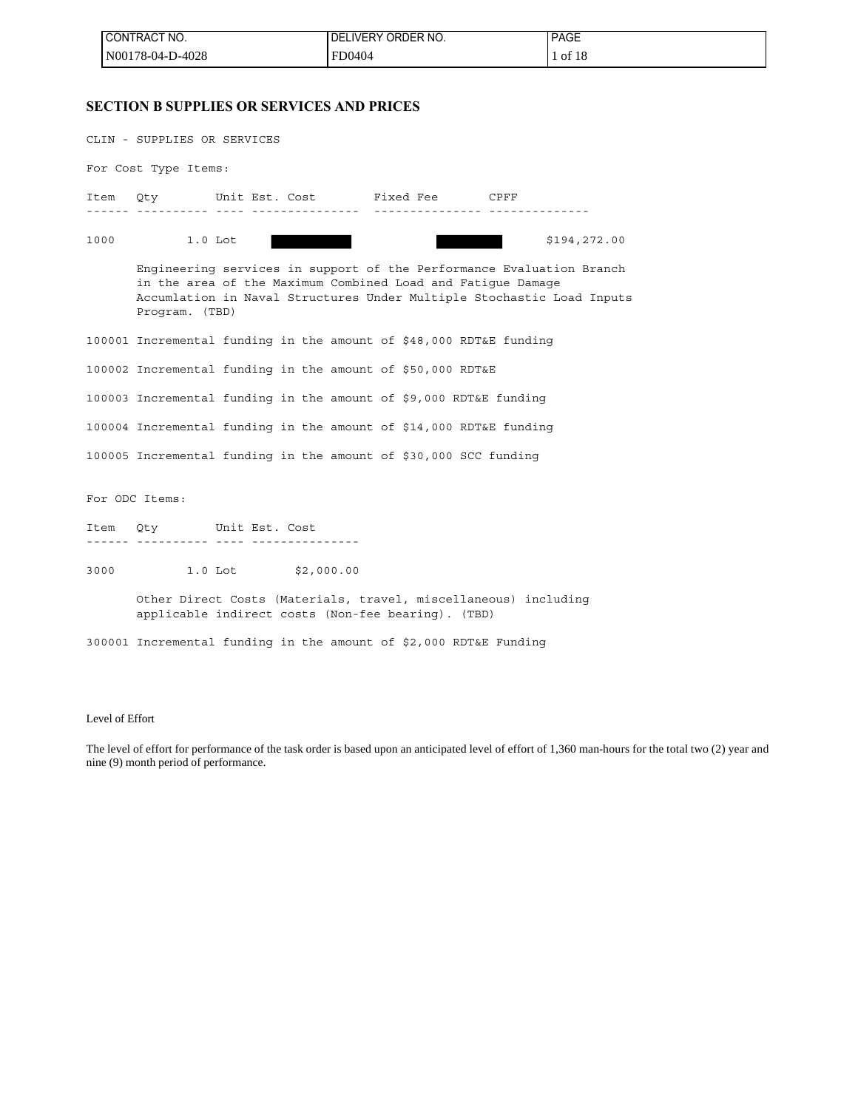| <b>I CONTRACT NO.</b> | I DELIVERY ORDER NO. | <b>PAGE</b> |
|-----------------------|----------------------|-------------|
| N00178-04-D-4028      | FD0404               | 1 of 18     |

### **SECTION B SUPPLIES OR SERVICES AND PRICES**

| CLIN - SUPPLIES OR SERVICES |                                                                                                                                                                                                                                |  |  |  |  |
|-----------------------------|--------------------------------------------------------------------------------------------------------------------------------------------------------------------------------------------------------------------------------|--|--|--|--|
| For Cost Type Items:        |                                                                                                                                                                                                                                |  |  |  |  |
|                             | Item Qty Unit Est. Cost Fixed Fee CPFF<br>.i.i.i.i. .i.i. .i.i.i.i.i.i.i.i. .i.i.i.i.i.i.i.i. .i.i.i.i.i.i.                                                                                                                    |  |  |  |  |
| 1000                        | $1.0$ Lot<br>\$194,272.00                                                                                                                                                                                                      |  |  |  |  |
|                             | Engineering services in support of the Performance Evaluation Branch<br>in the area of the Maximum Combined Load and Fatigue Damage<br>Accumlation in Naval Structures Under Multiple Stochastic Load Inputs<br>Program. (TBD) |  |  |  |  |
|                             | 100001 Incremental funding in the amount of \$48,000 RDT&E funding                                                                                                                                                             |  |  |  |  |
|                             | 100002 Incremental funding in the amount of \$50,000 RDT&E                                                                                                                                                                     |  |  |  |  |
|                             | 100003 Incremental funding in the amount of \$9,000 RDT&E funding                                                                                                                                                              |  |  |  |  |
|                             | 100004 Incremental funding in the amount of \$14,000 RDT&E funding                                                                                                                                                             |  |  |  |  |
|                             | 100005 Incremental funding in the amount of \$30,000 SCC funding                                                                                                                                                               |  |  |  |  |
|                             | For ODC Items:                                                                                                                                                                                                                 |  |  |  |  |
|                             | Item Qty Unit Est. Cost                                                                                                                                                                                                        |  |  |  |  |
|                             | 3000 000<br>1.0 Lot \$2,000.00                                                                                                                                                                                                 |  |  |  |  |
|                             | Other Direct Costs (Materials, travel, miscellaneous) including<br>applicable indirect costs (Non-fee bearing). (TBD)                                                                                                          |  |  |  |  |
|                             | 300001 Incremental funding in the amount of \$2,000 RDT&E Funding                                                                                                                                                              |  |  |  |  |

### Level of Effort

The level of effort for performance of the task order is based upon an anticipated level of effort of 1,360 man-hours for the total two (2) year and nine (9) month period of performance.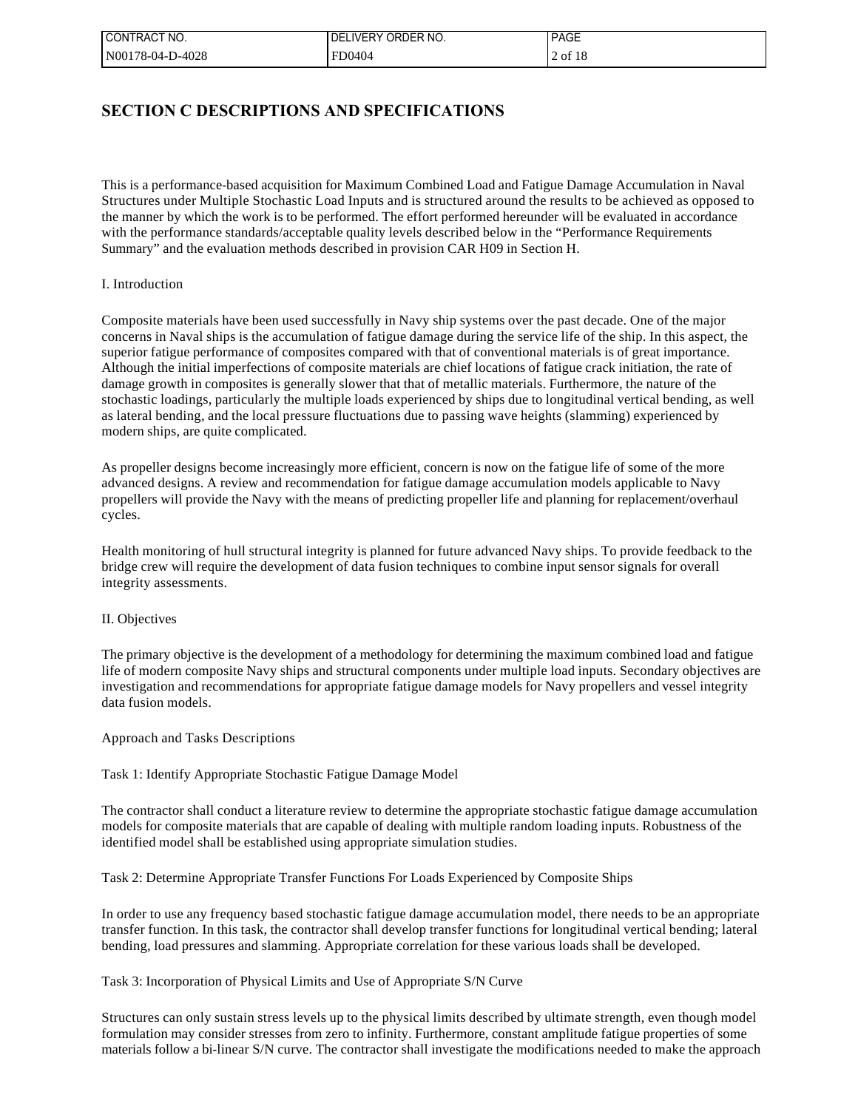| CONTRACT NO.     | LIVERY ORDER NO.<br>DE | <b>PAGE</b> |
|------------------|------------------------|-------------|
| N00178-04-D-4028 | FD0404                 | 2 of 18     |

## **SECTION C DESCRIPTIONS AND SPECIFICATIONS**

This is a performance-based acquisition for Maximum Combined Load and Fatigue Damage Accumulation in Naval Structures under Multiple Stochastic Load Inputs and is structured around the results to be achieved as opposed to the manner by which the work is to be performed. The effort performed hereunder will be evaluated in accordance with the performance standards/acceptable quality levels described below in the "Performance Requirements Summary" and the evaluation methods described in provision CAR H09 in Section H.

#### I. Introduction

Composite materials have been used successfully in Navy ship systems over the past decade. One of the major concerns in Naval ships is the accumulation of fatigue damage during the service life of the ship. In this aspect, the superior fatigue performance of composites compared with that of conventional materials is of great importance. Although the initial imperfections of composite materials are chief locations of fatigue crack initiation, the rate of damage growth in composites is generally slower that that of metallic materials. Furthermore, the nature of the stochastic loadings, particularly the multiple loads experienced by ships due to longitudinal vertical bending, as well as lateral bending, and the local pressure fluctuations due to passing wave heights (slamming) experienced by modern ships, are quite complicated.

As propeller designs become increasingly more efficient, concern is now on the fatigue life of some of the more advanced designs. A review and recommendation for fatigue damage accumulation models applicable to Navy propellers will provide the Navy with the means of predicting propeller life and planning for replacement/overhaul cycles.

Health monitoring of hull structural integrity is planned for future advanced Navy ships. To provide feedback to the bridge crew will require the development of data fusion techniques to combine input sensor signals for overall integrity assessments.

#### II. Objectives

The primary objective is the development of a methodology for determining the maximum combined load and fatigue life of modern composite Navy ships and structural components under multiple load inputs. Secondary objectives are investigation and recommendations for appropriate fatigue damage models for Navy propellers and vessel integrity data fusion models.

#### Approach and Tasks Descriptions

### Task 1: Identify Appropriate Stochastic Fatigue Damage Model

The contractor shall conduct a literature review to determine the appropriate stochastic fatigue damage accumulation models for composite materials that are capable of dealing with multiple random loading inputs. Robustness of the identified model shall be established using appropriate simulation studies.

Task 2: Determine Appropriate Transfer Functions For Loads Experienced by Composite Ships

In order to use any frequency based stochastic fatigue damage accumulation model, there needs to be an appropriate transfer function. In this task, the contractor shall develop transfer functions for longitudinal vertical bending; lateral bending, load pressures and slamming. Appropriate correlation for these various loads shall be developed.

### Task 3: Incorporation of Physical Limits and Use of Appropriate S/N Curve

Structures can only sustain stress levels up to the physical limits described by ultimate strength, even though model formulation may consider stresses from zero to infinity. Furthermore, constant amplitude fatigue properties of some materials follow a bi-linear S/N curve. The contractor shall investigate the modifications needed to make the approach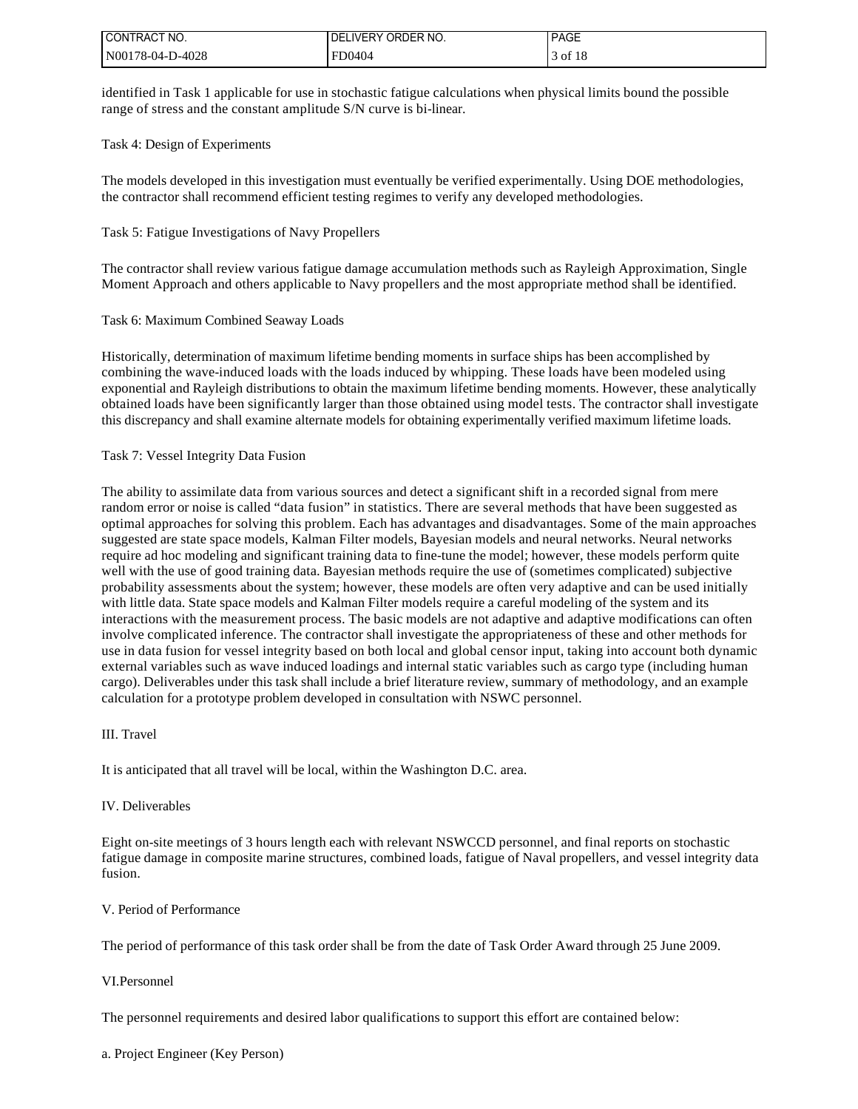| I CONTRACT NO.   | I DELIVERY ORDER NO. | <b>PAGE</b> |
|------------------|----------------------|-------------|
| N00178-04-D-4028 | FD0404               | of 18       |

identified in Task 1 applicable for use in stochastic fatigue calculations when physical limits bound the possible range of stress and the constant amplitude S/N curve is bi-linear.

#### Task 4: Design of Experiments

The models developed in this investigation must eventually be verified experimentally. Using DOE methodologies, the contractor shall recommend efficient testing regimes to verify any developed methodologies.

#### Task 5: Fatigue Investigations of Navy Propellers

The contractor shall review various fatigue damage accumulation methods such as Rayleigh Approximation, Single Moment Approach and others applicable to Navy propellers and the most appropriate method shall be identified.

#### Task 6: Maximum Combined Seaway Loads

Historically, determination of maximum lifetime bending moments in surface ships has been accomplished by combining the wave-induced loads with the loads induced by whipping. These loads have been modeled using exponential and Rayleigh distributions to obtain the maximum lifetime bending moments. However, these analytically obtained loads have been significantly larger than those obtained using model tests. The contractor shall investigate this discrepancy and shall examine alternate models for obtaining experimentally verified maximum lifetime loads.

#### Task 7: Vessel Integrity Data Fusion

The ability to assimilate data from various sources and detect a significant shift in a recorded signal from mere random error or noise is called "data fusion" in statistics. There are several methods that have been suggested as optimal approaches for solving this problem. Each has advantages and disadvantages. Some of the main approaches suggested are state space models, Kalman Filter models, Bayesian models and neural networks. Neural networks require ad hoc modeling and significant training data to fine-tune the model; however, these models perform quite well with the use of good training data. Bayesian methods require the use of (sometimes complicated) subjective probability assessments about the system; however, these models are often very adaptive and can be used initially with little data. State space models and Kalman Filter models require a careful modeling of the system and its interactions with the measurement process. The basic models are not adaptive and adaptive modifications can often involve complicated inference. The contractor shall investigate the appropriateness of these and other methods for use in data fusion for vessel integrity based on both local and global censor input, taking into account both dynamic external variables such as wave induced loadings and internal static variables such as cargo type (including human cargo). Deliverables under this task shall include a brief literature review, summary of methodology, and an example calculation for a prototype problem developed in consultation with NSWC personnel.

#### III. Travel

It is anticipated that all travel will be local, within the Washington D.C. area.

#### IV. Deliverables

Eight on-site meetings of 3 hours length each with relevant NSWCCD personnel, and final reports on stochastic fatigue damage in composite marine structures, combined loads, fatigue of Naval propellers, and vessel integrity data fusion.

### V. Period of Performance

The period of performance of this task order shall be from the date of Task Order Award through 25 June 2009.

### VI.Personnel

The personnel requirements and desired labor qualifications to support this effort are contained below: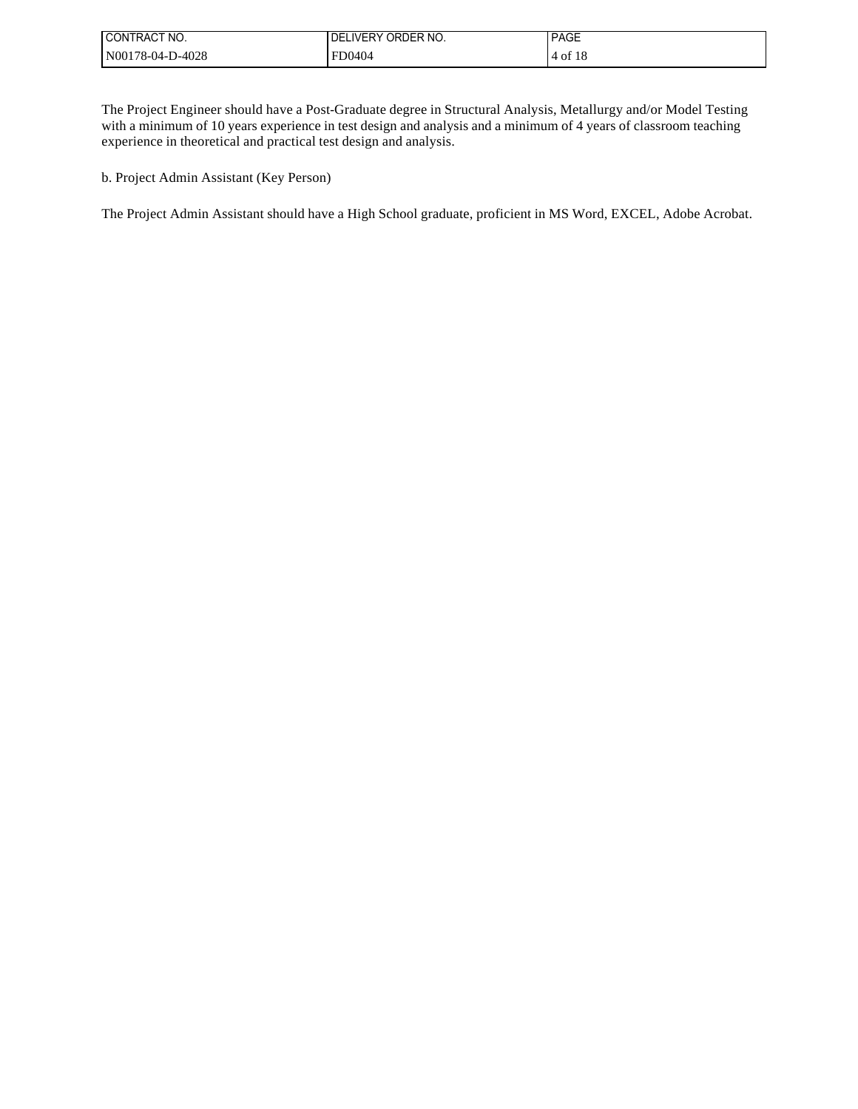| I CONTRACT NO.   | l DELIVERY ORDER NO. | <b>PAGE</b> |
|------------------|----------------------|-------------|
| N00178-04-D-4028 | FD0404               | 4 of 18     |

The Project Engineer should have a Post-Graduate degree in Structural Analysis, Metallurgy and/or Model Testing with a minimum of 10 years experience in test design and analysis and a minimum of 4 years of classroom teaching experience in theoretical and practical test design and analysis.

b. Project Admin Assistant (Key Person)

The Project Admin Assistant should have a High School graduate, proficient in MS Word, EXCEL, Adobe Acrobat.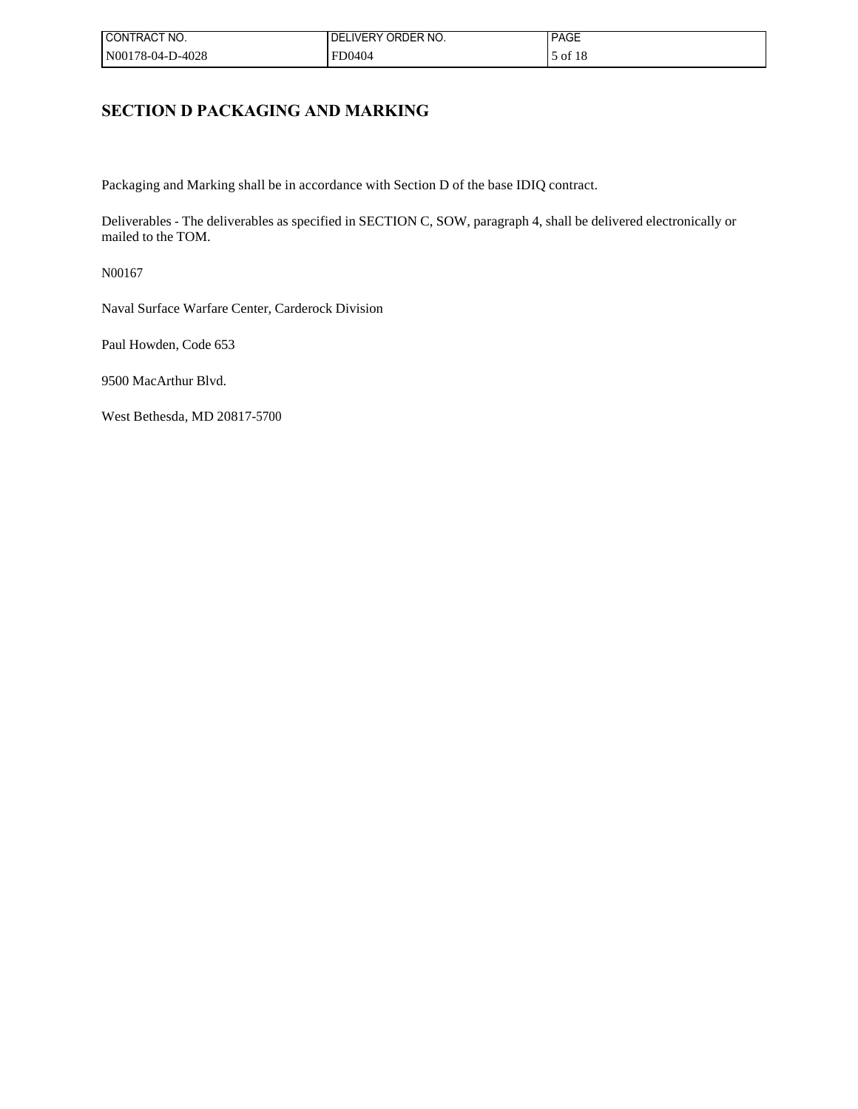| CONTRACT NO.     | LIVERY ORDER NO.<br>DEI | <b>PAGE</b> |
|------------------|-------------------------|-------------|
| N00178-04-D-4028 | FD0404                  | of 18       |

## **SECTION D PACKAGING AND MARKING**

Packaging and Marking shall be in accordance with Section D of the base IDIQ contract.

Deliverables - The deliverables as specified in SECTION C, SOW, paragraph 4, shall be delivered electronically or mailed to the TOM.

N00167

Naval Surface Warfare Center, Carderock Division

Paul Howden, Code 653

9500 MacArthur Blvd.

West Bethesda, MD 20817-5700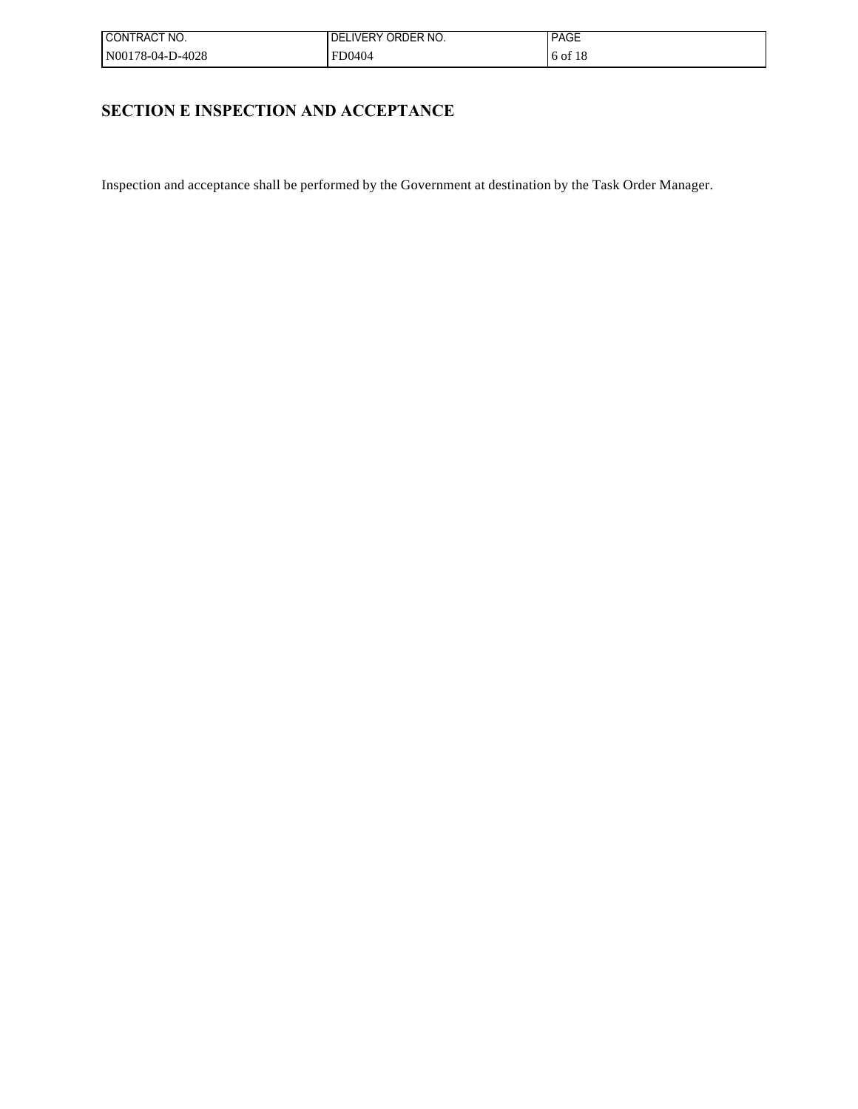| ! CONTRACT NO.   | <b>IDELIVERY ORDER NO.</b> | <b>PAGE</b> |
|------------------|----------------------------|-------------|
| N00178-04-D-4028 | <b>FD0404</b>              | 16 of 18    |

# **SECTION E INSPECTION AND ACCEPTANCE**

Inspection and acceptance shall be performed by the Government at destination by the Task Order Manager.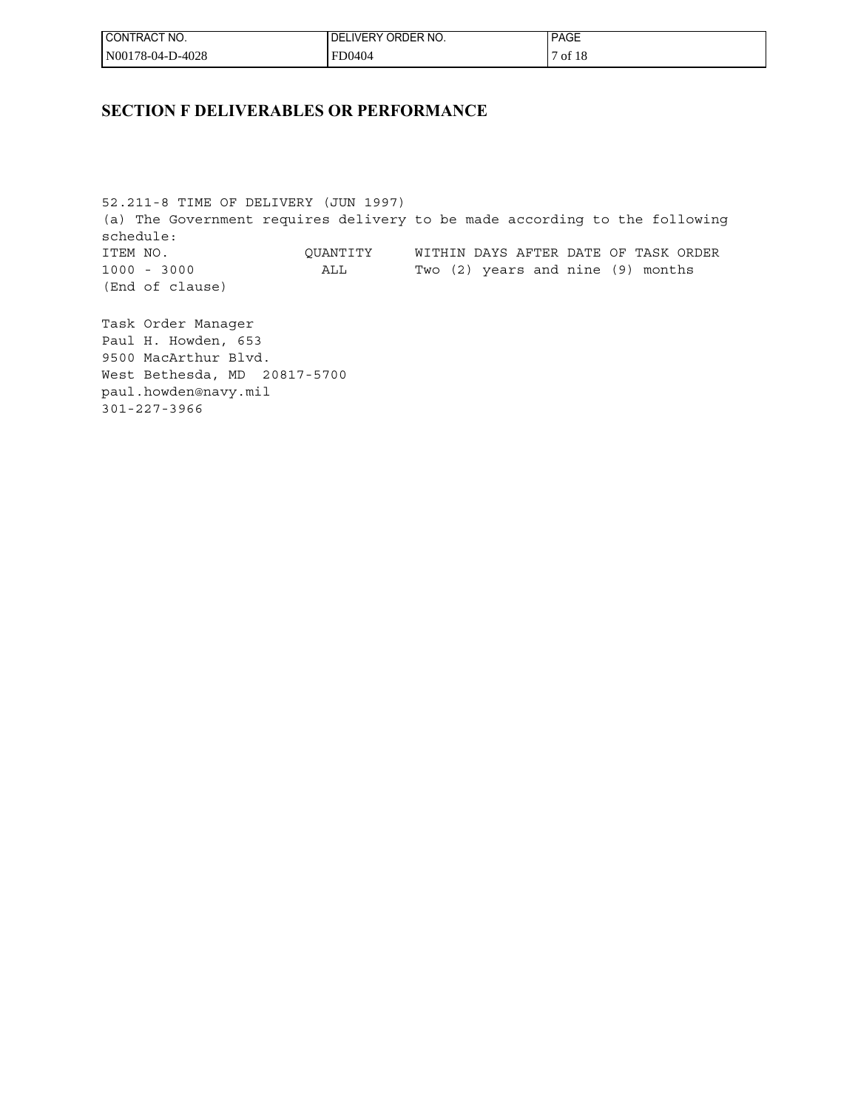| ' CONTRACT NO.   | ORDER NO.<br><b>DELIVERY</b> | <b>PAGE</b> |
|------------------|------------------------------|-------------|
| N00178-04-D-4028 | FD0404                       | of 18       |

## **SECTION F DELIVERABLES OR PERFORMANCE**

52.211-8 TIME OF DELIVERY (JUN 1997) (a) The Government requires delivery to be made according to the following schedule: ITEM NO. QUANTITY WITHIN DAYS AFTER DATE OF TASK ORDER 1000 - 3000 ALL Two (2) years and nine (9) months (End of clause)

Task Order Manager Paul H. Howden, 653 9500 MacArthur Blvd. West Bethesda, MD 20817-5700 paul.howden@navy.mil 301-227-3966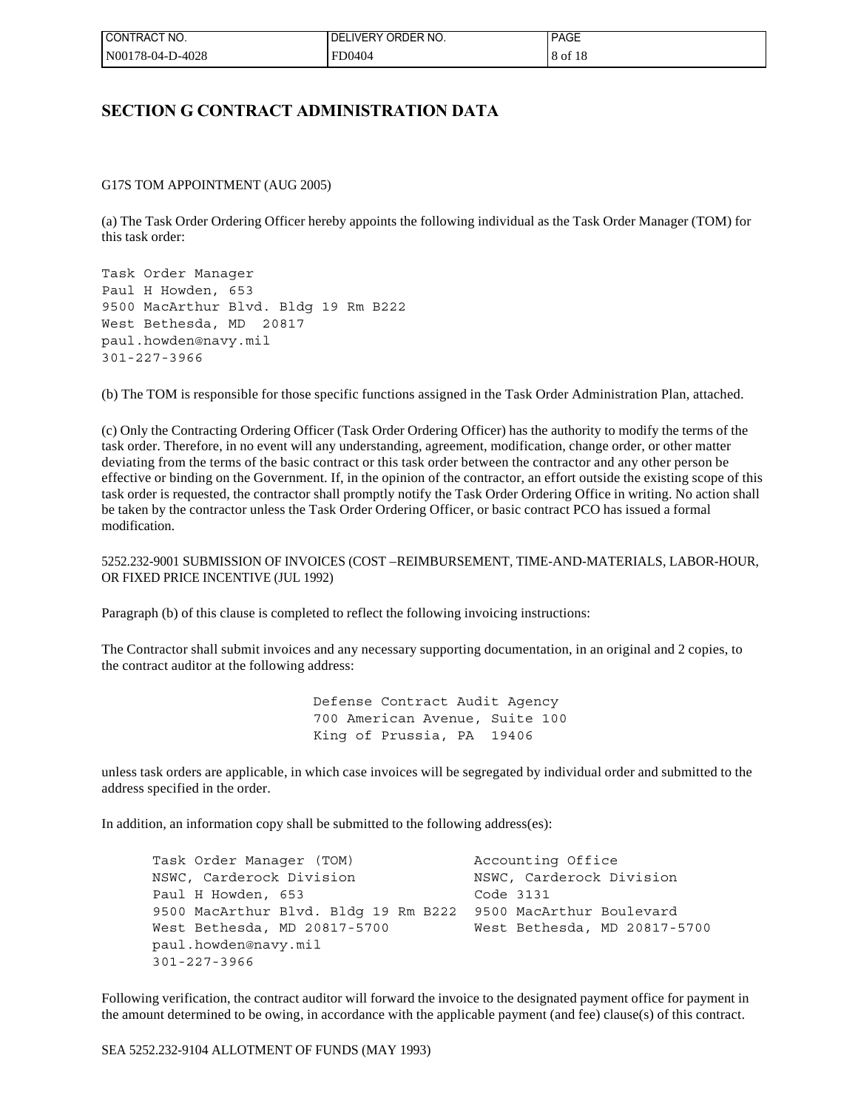| I CONTRACT NO.   | I DELIVERY ORDER NO. | <b>PAGE</b> |
|------------------|----------------------|-------------|
| N00178-04-D-4028 | FD0404               | 8 of 18     |

## **SECTION G CONTRACT ADMINISTRATION DATA**

G17S TOM APPOINTMENT (AUG 2005)

(a) The Task Order Ordering Officer hereby appoints the following individual as the Task Order Manager (TOM) for this task order:

Task Order Manager Paul H Howden, 653 9500 MacArthur Blvd. Bldg 19 Rm B222 West Bethesda, MD 20817 paul.howden@navy.mil 301-227-3966

(b) The TOM is responsible for those specific functions assigned in the Task Order Administration Plan, attached.

(c) Only the Contracting Ordering Officer (Task Order Ordering Officer) has the authority to modify the terms of the task order. Therefore, in no event will any understanding, agreement, modification, change order, or other matter deviating from the terms of the basic contract or this task order between the contractor and any other person be effective or binding on the Government. If, in the opinion of the contractor, an effort outside the existing scope of this task order is requested, the contractor shall promptly notify the Task Order Ordering Office in writing. No action shall be taken by the contractor unless the Task Order Ordering Officer, or basic contract PCO has issued a formal modification.

5252.232-9001 SUBMISSION OF INVOICES (COST –REIMBURSEMENT, TIME-AND-MATERIALS, LABOR-HOUR, OR FIXED PRICE INCENTIVE (JUL 1992)

Paragraph (b) of this clause is completed to reflect the following invoicing instructions:

The Contractor shall submit invoices and any necessary supporting documentation, in an original and 2 copies, to the contract auditor at the following address:

> Defense Contract Audit Agency 700 American Avenue, Suite 100 King of Prussia, PA 19406

unless task orders are applicable, in which case invoices will be segregated by individual order and submitted to the address specified in the order.

In addition, an information copy shall be submitted to the following address(es):

 Task Order Manager (TOM) Accounting Office NSWC, Carderock Division<br>
NSWC, Carderock Division Paul H Howden, 653 Code 3131 9500 MacArthur Blvd. Bldg 19 Rm B222 9500 MacArthur Boulevard West Bethesda, MD 20817-5700 West Bethesda, MD 20817-5700 paul.howden@navy.mil 301-227-3966

Following verification, the contract auditor will forward the invoice to the designated payment office for payment in the amount determined to be owing, in accordance with the applicable payment (and fee) clause(s) of this contract.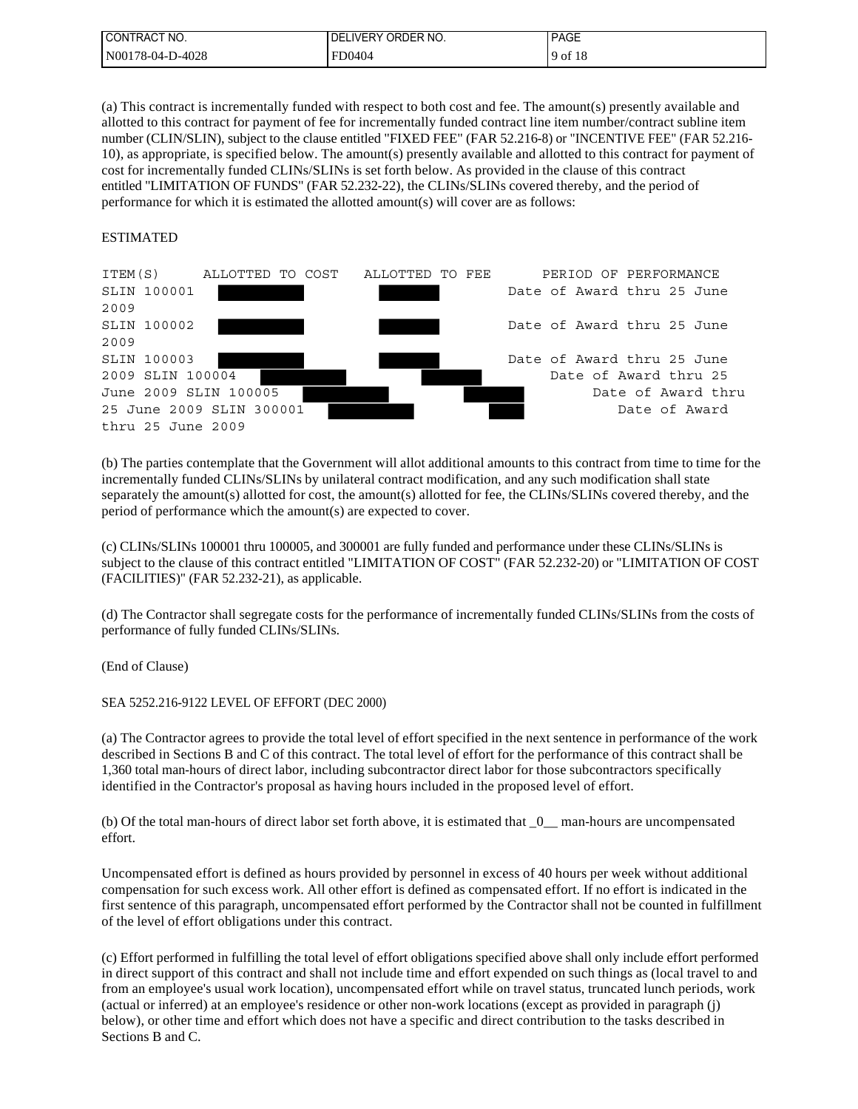| I CONTRACT NO.   | LIVERY ORDER NO.<br>DEI | <b>PAGE</b> |
|------------------|-------------------------|-------------|
| N00178-04-D-4028 | FD0404                  | 9 of 18     |

(a) This contract is incrementally funded with respect to both cost and fee. The amount(s) presently available and allotted to this contract for payment of fee for incrementally funded contract line item number/contract subline item number (CLIN/SLIN), subject to the clause entitled "FIXED FEE" (FAR 52.216-8) or "INCENTIVE FEE" (FAR 52.216- 10), as appropriate, is specified below. The amount(s) presently available and allotted to this contract for payment of cost for incrementally funded CLINs/SLINs is set forth below. As provided in the clause of this contract entitled "LIMITATION OF FUNDS" (FAR 52.232-22), the CLINs/SLINs covered thereby, and the period of performance for which it is estimated the allotted amount(s) will cover are as follows:

#### ESTIMATED



(b) The parties contemplate that the Government will allot additional amounts to this contract from time to time for the incrementally funded CLINs/SLINs by unilateral contract modification, and any such modification shall state separately the amount(s) allotted for cost, the amount(s) allotted for fee, the CLINs/SLINs covered thereby, and the period of performance which the amount(s) are expected to cover.

(c) CLINs/SLINs 100001 thru 100005, and 300001 are fully funded and performance under these CLINs/SLINs is subject to the clause of this contract entitled "LIMITATION OF COST" (FAR 52.232-20) or "LIMITATION OF COST (FACILITIES)" (FAR 52.232-21), as applicable.

(d) The Contractor shall segregate costs for the performance of incrementally funded CLINs/SLINs from the costs of performance of fully funded CLINs/SLINs.

(End of Clause)

SEA 5252.216-9122 LEVEL OF EFFORT (DEC 2000)

(a) The Contractor agrees to provide the total level of effort specified in the next sentence in performance of the work described in Sections B and C of this contract. The total level of effort for the performance of this contract shall be 1,360 total man-hours of direct labor, including subcontractor direct labor for those subcontractors specifically identified in the Contractor's proposal as having hours included in the proposed level of effort.

(b) Of the total man-hours of direct labor set forth above, it is estimated that \_0\_\_ man-hours are uncompensated effort.

Uncompensated effort is defined as hours provided by personnel in excess of 40 hours per week without additional compensation for such excess work. All other effort is defined as compensated effort. If no effort is indicated in the first sentence of this paragraph, uncompensated effort performed by the Contractor shall not be counted in fulfillment of the level of effort obligations under this contract.

(c) Effort performed in fulfilling the total level of effort obligations specified above shall only include effort performed in direct support of this contract and shall not include time and effort expended on such things as (local travel to and from an employee's usual work location), uncompensated effort while on travel status, truncated lunch periods, work (actual or inferred) at an employee's residence or other non-work locations (except as provided in paragraph (j) below), or other time and effort which does not have a specific and direct contribution to the tasks described in Sections B and C.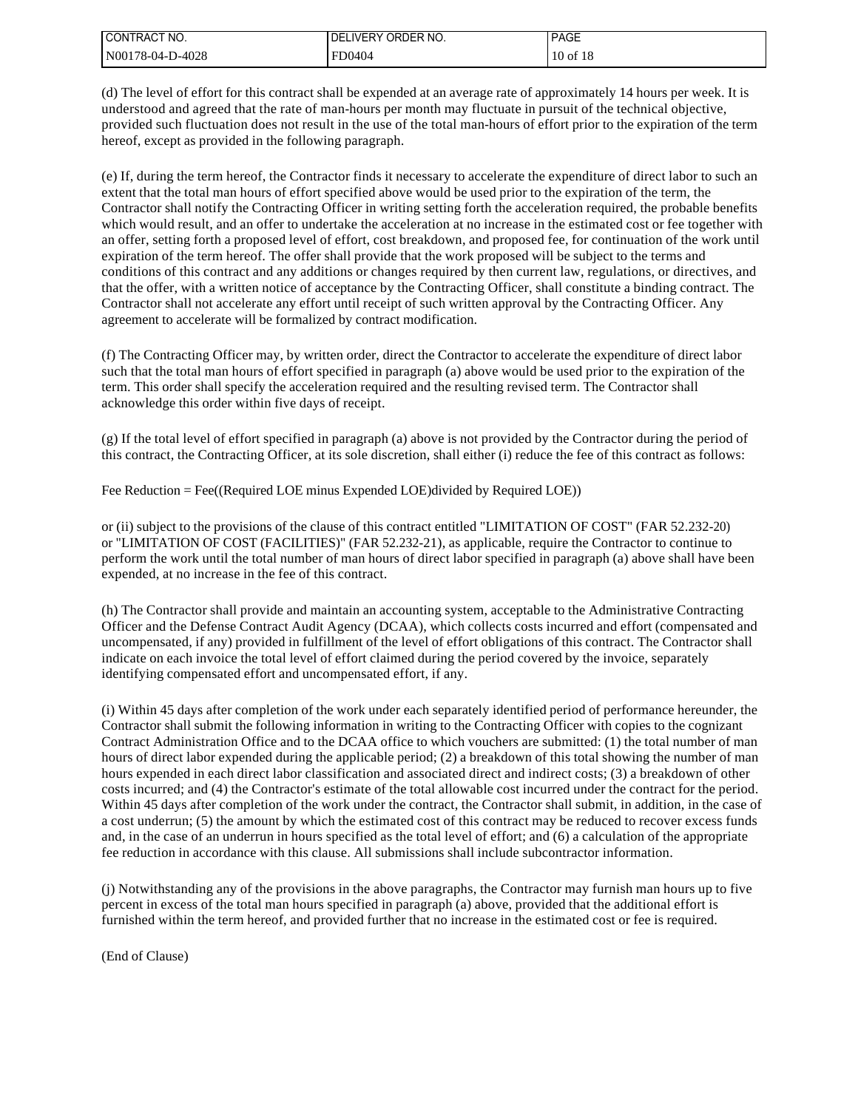| I CONTRACT NO.   | I DELIVERY ORDER NO. | <b>PAGE</b>  |
|------------------|----------------------|--------------|
| N00178-04-D-4028 | FD0404               | $10$ of $18$ |

(d) The level of effort for this contract shall be expended at an average rate of approximately 14 hours per week. It is understood and agreed that the rate of man-hours per month may fluctuate in pursuit of the technical objective, provided such fluctuation does not result in the use of the total man-hours of effort prior to the expiration of the term hereof, except as provided in the following paragraph.

(e) If, during the term hereof, the Contractor finds it necessary to accelerate the expenditure of direct labor to such an extent that the total man hours of effort specified above would be used prior to the expiration of the term, the Contractor shall notify the Contracting Officer in writing setting forth the acceleration required, the probable benefits which would result, and an offer to undertake the acceleration at no increase in the estimated cost or fee together with an offer, setting forth a proposed level of effort, cost breakdown, and proposed fee, for continuation of the work until expiration of the term hereof. The offer shall provide that the work proposed will be subject to the terms and conditions of this contract and any additions or changes required by then current law, regulations, or directives, and that the offer, with a written notice of acceptance by the Contracting Officer, shall constitute a binding contract. The Contractor shall not accelerate any effort until receipt of such written approval by the Contracting Officer. Any agreement to accelerate will be formalized by contract modification.

(f) The Contracting Officer may, by written order, direct the Contractor to accelerate the expenditure of direct labor such that the total man hours of effort specified in paragraph (a) above would be used prior to the expiration of the term. This order shall specify the acceleration required and the resulting revised term. The Contractor shall acknowledge this order within five days of receipt.

(g) If the total level of effort specified in paragraph (a) above is not provided by the Contractor during the period of this contract, the Contracting Officer, at its sole discretion, shall either (i) reduce the fee of this contract as follows:

Fee Reduction = Fee((Required LOE minus Expended LOE)divided by Required LOE))

or (ii) subject to the provisions of the clause of this contract entitled "LIMITATION OF COST" (FAR 52.232-20) or "LIMITATION OF COST (FACILITIES)" (FAR 52.232-21), as applicable, require the Contractor to continue to perform the work until the total number of man hours of direct labor specified in paragraph (a) above shall have been expended, at no increase in the fee of this contract.

(h) The Contractor shall provide and maintain an accounting system, acceptable to the Administrative Contracting Officer and the Defense Contract Audit Agency (DCAA), which collects costs incurred and effort (compensated and uncompensated, if any) provided in fulfillment of the level of effort obligations of this contract. The Contractor shall indicate on each invoice the total level of effort claimed during the period covered by the invoice, separately identifying compensated effort and uncompensated effort, if any.

(i) Within 45 days after completion of the work under each separately identified period of performance hereunder, the Contractor shall submit the following information in writing to the Contracting Officer with copies to the cognizant Contract Administration Office and to the DCAA office to which vouchers are submitted: (1) the total number of man hours of direct labor expended during the applicable period; (2) a breakdown of this total showing the number of man hours expended in each direct labor classification and associated direct and indirect costs; (3) a breakdown of other costs incurred; and (4) the Contractor's estimate of the total allowable cost incurred under the contract for the period. Within 45 days after completion of the work under the contract, the Contractor shall submit, in addition, in the case of a cost underrun; (5) the amount by which the estimated cost of this contract may be reduced to recover excess funds and, in the case of an underrun in hours specified as the total level of effort; and (6) a calculation of the appropriate fee reduction in accordance with this clause. All submissions shall include subcontractor information.

(j) Notwithstanding any of the provisions in the above paragraphs, the Contractor may furnish man hours up to five percent in excess of the total man hours specified in paragraph (a) above, provided that the additional effort is furnished within the term hereof, and provided further that no increase in the estimated cost or fee is required.

(End of Clause)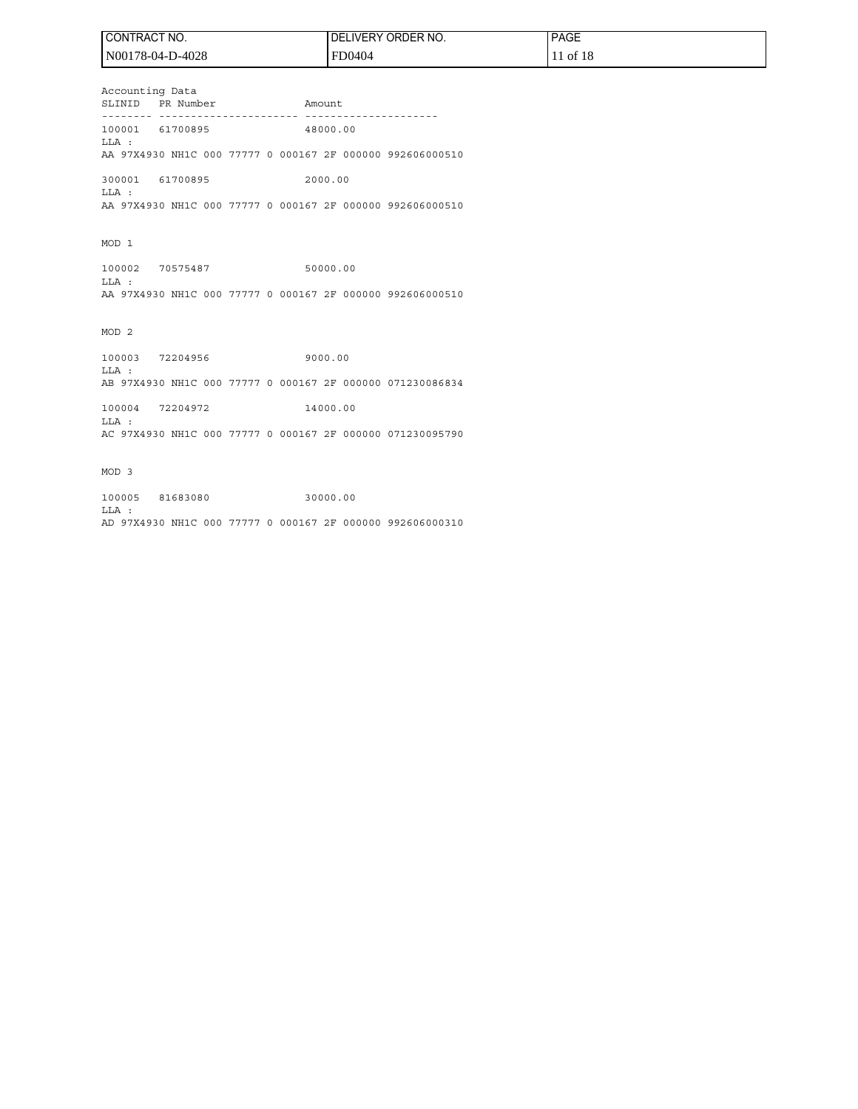| ! CONTRACT NO.   | I DELIVERY ORDER NO. | PAGE <sup>1</sup> |
|------------------|----------------------|-------------------|
| N00178-04-D-4028 | FD0404               | 11 of 18          |

Accounting Data SLINID PR Number Amount -------- ---------------------- --------------------- 100001 61700895 48000.00 LLA : AA 97X4930 NH1C 000 77777 0 000167 2F 000000 992606000510 300001 61700895 2000.00 LLA :

AA 97X4930 NH1C 000 77777 0 000167 2F 000000 992606000510

MOD 1

100002 70575487 50000.00 LLA : AA 97X4930 NH1C 000 77777 0 000167 2F 000000 992606000510

MOD 2

100003 72204956 9000.00 LLA : AB 97X4930 NH1C 000 77777 0 000167 2F 000000 071230086834

100004 72204972 14000.00 LLA : AC 97X4930 NH1C 000 77777 0 000167 2F 000000 071230095790

MOD 3

100005 81683080 30000.00 LLA : AD 97X4930 NH1C 000 77777 0 000167 2F 000000 992606000310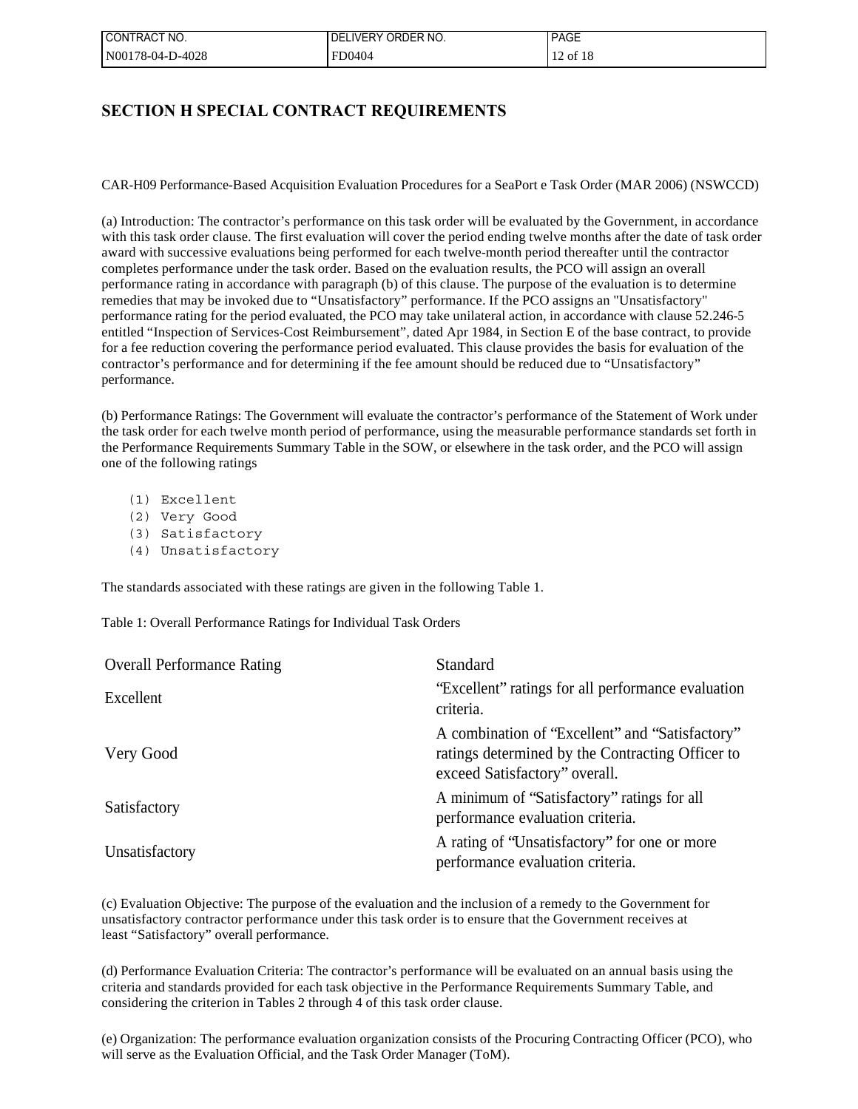| ! CONTRACT NO.   | <b>LIVERY</b><br>' ORDER NO.<br>، DEI | <b>PAGE</b>  |
|------------------|---------------------------------------|--------------|
| N00178-04-D-4028 | FD0404                                | $12$ of $18$ |

## **SECTION H SPECIAL CONTRACT REQUIREMENTS**

CAR-H09 Performance-Based Acquisition Evaluation Procedures for a SeaPort e Task Order (MAR 2006) (NSWCCD)

(a) Introduction: The contractor's performance on this task order will be evaluated by the Government, in accordance with this task order clause. The first evaluation will cover the period ending twelve months after the date of task order award with successive evaluations being performed for each twelve-month period thereafter until the contractor completes performance under the task order. Based on the evaluation results, the PCO will assign an overall performance rating in accordance with paragraph (b) of this clause. The purpose of the evaluation is to determine remedies that may be invoked due to "Unsatisfactory" performance. If the PCO assigns an "Unsatisfactory" performance rating for the period evaluated, the PCO may take unilateral action, in accordance with clause 52.246-5 entitled "Inspection of Services-Cost Reimbursement", dated Apr 1984, in Section E of the base contract, to provide for a fee reduction covering the performance period evaluated. This clause provides the basis for evaluation of the contractor's performance and for determining if the fee amount should be reduced due to "Unsatisfactory" performance.

(b) Performance Ratings: The Government will evaluate the contractor's performance of the Statement of Work under the task order for each twelve month period of performance, using the measurable performance standards set forth in the Performance Requirements Summary Table in the SOW, or elsewhere in the task order, and the PCO will assign one of the following ratings

- (1) Excellent
- (2) Very Good
- (3) Satisfactory
- (4) Unsatisfactory

The standards associated with these ratings are given in the following Table 1.

Table 1: Overall Performance Ratings for Individual Task Orders

| <b>Overall Performance Rating</b> | Standard                                                                                                                             |
|-----------------------------------|--------------------------------------------------------------------------------------------------------------------------------------|
| Excellent                         | "Excellent" ratings for all performance evaluation<br>criteria.                                                                      |
| Very Good                         | A combination of "Excellent" and "Satisfactory"<br>ratings determined by the Contracting Officer to<br>exceed Satisfactory" overall. |
| Satisfactory                      | A minimum of "Satisfactory" ratings for all<br>performance evaluation criteria.                                                      |
| Unsatisfactory                    | A rating of "Unsatisfactory" for one or more<br>performance evaluation criteria.                                                     |

(c) Evaluation Objective: The purpose of the evaluation and the inclusion of a remedy to the Government for unsatisfactory contractor performance under this task order is to ensure that the Government receives at least "Satisfactory" overall performance.

(d) Performance Evaluation Criteria: The contractor's performance will be evaluated on an annual basis using the criteria and standards provided for each task objective in the Performance Requirements Summary Table, and considering the criterion in Tables 2 through 4 of this task order clause.

(e) Organization: The performance evaluation organization consists of the Procuring Contracting Officer (PCO), who will serve as the Evaluation Official, and the Task Order Manager (ToM).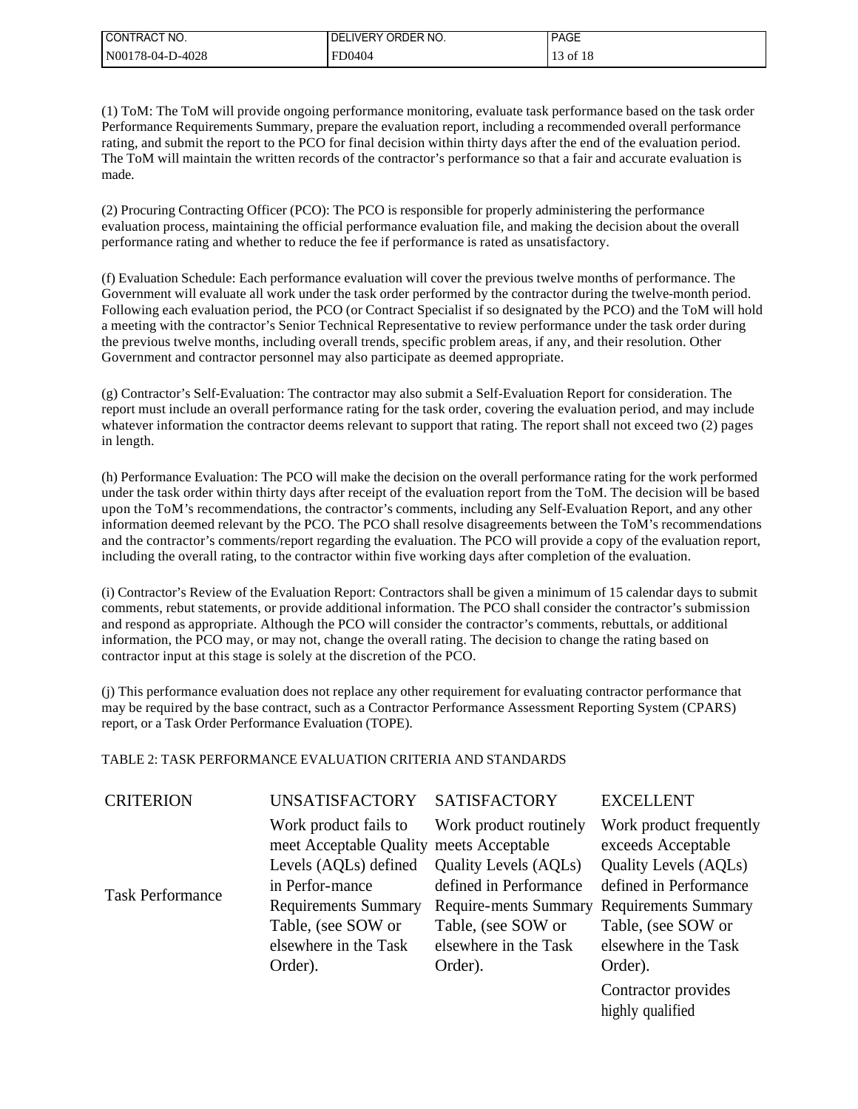| I CONTRACT NO.   | <b>'.IVERY ORDER NO.</b><br>DEI | <b>PAGE</b> |
|------------------|---------------------------------|-------------|
| N00178-04-D-4028 | FD0404                          | 13 of 18    |

(1) ToM: The ToM will provide ongoing performance monitoring, evaluate task performance based on the task order Performance Requirements Summary, prepare the evaluation report, including a recommended overall performance rating, and submit the report to the PCO for final decision within thirty days after the end of the evaluation period. The ToM will maintain the written records of the contractor's performance so that a fair and accurate evaluation is made.

(2) Procuring Contracting Officer (PCO): The PCO is responsible for properly administering the performance evaluation process, maintaining the official performance evaluation file, and making the decision about the overall performance rating and whether to reduce the fee if performance is rated as unsatisfactory.

(f) Evaluation Schedule: Each performance evaluation will cover the previous twelve months of performance. The Government will evaluate all work under the task order performed by the contractor during the twelve-month period. Following each evaluation period, the PCO (or Contract Specialist if so designated by the PCO) and the ToM will hold a meeting with the contractor's Senior Technical Representative to review performance under the task order during the previous twelve months, including overall trends, specific problem areas, if any, and their resolution. Other Government and contractor personnel may also participate as deemed appropriate.

(g) Contractor's Self-Evaluation: The contractor may also submit a Self-Evaluation Report for consideration. The report must include an overall performance rating for the task order, covering the evaluation period, and may include whatever information the contractor deems relevant to support that rating. The report shall not exceed two (2) pages in length.

(h) Performance Evaluation: The PCO will make the decision on the overall performance rating for the work performed under the task order within thirty days after receipt of the evaluation report from the ToM. The decision will be based upon the ToM's recommendations, the contractor's comments, including any Self-Evaluation Report, and any other information deemed relevant by the PCO. The PCO shall resolve disagreements between the ToM's recommendations and the contractor's comments/report regarding the evaluation. The PCO will provide a copy of the evaluation report, including the overall rating, to the contractor within five working days after completion of the evaluation.

(i) Contractor's Review of the Evaluation Report: Contractors shall be given a minimum of 15 calendar days to submit comments, rebut statements, or provide additional information. The PCO shall consider the contractor's submission and respond as appropriate. Although the PCO will consider the contractor's comments, rebuttals, or additional information, the PCO may, or may not, change the overall rating. The decision to change the rating based on contractor input at this stage is solely at the discretion of the PCO.

(j) This performance evaluation does not replace any other requirement for evaluating contractor performance that may be required by the base contract, such as a Contractor Performance Assessment Reporting System (CPARS) report, or a Task Order Performance Evaluation (TOPE).

### TABLE 2: TASK PERFORMANCE EVALUATION CRITERIA AND STANDARDS

| <b>CRITERION</b>        | <b>UNSATISFACTORY</b>                                             | <b>SATISFACTORY</b>          | <b>EXCELLENT</b>                              |
|-------------------------|-------------------------------------------------------------------|------------------------------|-----------------------------------------------|
|                         | Work product fails to<br>meet Acceptable Quality meets Acceptable | Work product routinely       | Work product frequently<br>exceeds Acceptable |
|                         | Levels (AQLs) defined                                             | <b>Quality Levels (AQLs)</b> | <b>Quality Levels (AQLs)</b>                  |
| <b>Task Performance</b> | in Perfor-mance                                                   | defined in Performance       | defined in Performance                        |
|                         | <b>Requirements Summary</b>                                       | Require-ments Summary        | <b>Requirements Summary</b>                   |
|                         | Table, (see SOW or                                                | Table, (see SOW or           | Table, (see SOW or                            |
|                         | elsewhere in the Task                                             | elsewhere in the Task        | elsewhere in the Task                         |
|                         | Order).                                                           | Order).                      | Order).                                       |
|                         |                                                                   |                              | Contractor provides                           |

Contractor provides highly qualified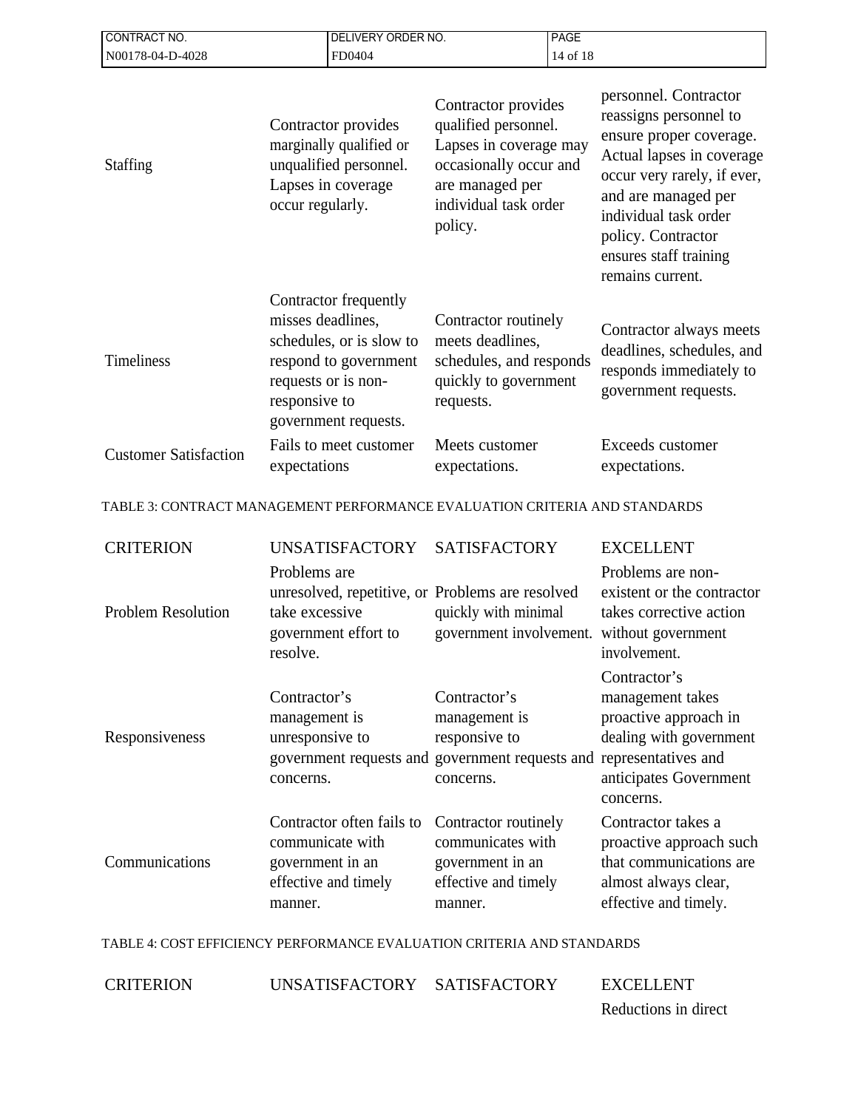| CONTRACT NO.                                                               |                                                               | DELIVERY ORDER NO.                                                                                                        |                                                                                                                                                        | <b>PAGE</b> |                                                                                                                                                                                                                                                            |
|----------------------------------------------------------------------------|---------------------------------------------------------------|---------------------------------------------------------------------------------------------------------------------------|--------------------------------------------------------------------------------------------------------------------------------------------------------|-------------|------------------------------------------------------------------------------------------------------------------------------------------------------------------------------------------------------------------------------------------------------------|
| N00178-04-D-4028<br>FD0404                                                 |                                                               |                                                                                                                           | 14 of 18                                                                                                                                               |             |                                                                                                                                                                                                                                                            |
| <b>Staffing</b>                                                            | occur regularly.                                              | Contractor provides<br>marginally qualified or<br>unqualified personnel.<br>Lapses in coverage                            | Contractor provides<br>qualified personnel.<br>Lapses in coverage may<br>occasionally occur and<br>are managed per<br>individual task order<br>policy. |             | personnel. Contractor<br>reassigns personnel to<br>ensure proper coverage.<br>Actual lapses in coverage<br>occur very rarely, if ever,<br>and are managed per<br>individual task order<br>policy. Contractor<br>ensures staff training<br>remains current. |
| Timeliness                                                                 | misses deadlines,<br>responsive to                            | Contractor frequently<br>schedules, or is slow to<br>respond to government<br>requests or is non-<br>government requests. | Contractor routinely<br>meets deadlines,<br>schedules, and responds<br>quickly to government<br>requests.                                              |             | Contractor always meets<br>deadlines, schedules, and<br>responds immediately to<br>government requests.                                                                                                                                                    |
| <b>Customer Satisfaction</b>                                               | expectations                                                  | Fails to meet customer                                                                                                    | Meets customer<br>expectations.                                                                                                                        |             | Exceeds customer<br>expectations.                                                                                                                                                                                                                          |
| TABLE 3: CONTRACT MANAGEMENT PERFORMANCE EVALUATION CRITERIA AND STANDARDS |                                                               |                                                                                                                           |                                                                                                                                                        |             |                                                                                                                                                                                                                                                            |
| <b>CRITERION</b>                                                           |                                                               | <b>UNSATISFACTORY</b>                                                                                                     | <b>SATISFACTORY</b>                                                                                                                                    |             | <b>EXCELLENT</b>                                                                                                                                                                                                                                           |
| <b>Problem Resolution</b>                                                  | Problems are<br>take excessive<br>resolve.                    | government effort to                                                                                                      | unresolved, repetitive, or Problems are resolved<br>quickly with minimal<br>government involvement.                                                    |             | Problems are non-<br>existent or the contractor<br>takes corrective action<br>without government<br>involvement.                                                                                                                                           |
| Responsiveness                                                             | Contractor's<br>management is<br>unresponsive to<br>concerns. |                                                                                                                           | Contractor's<br>management is<br>responsive to<br>concerns.                                                                                            |             | Contractor's<br>management takes<br>proactive approach in<br>dealing with government<br>government requests and government requests and representatives and<br>anticipates Government<br>concerns.                                                         |
| Communications                                                             | government in an<br>manner.                                   | Contractor often fails to<br>communicate with<br>effective and timely                                                     | Contractor routinely<br>communicates with<br>government in an<br>effective and timely<br>manner.                                                       |             | Contractor takes a<br>proactive approach such<br>that communications are<br>almost always clear,<br>effective and timely.                                                                                                                                  |

TABLE 4: COST EFFICIENCY PERFORMANCE EVALUATION CRITERIA AND STANDARDS

CRITERION UNSATISFACTORY SATISFACTORY EXCELLENT

Reductions in direct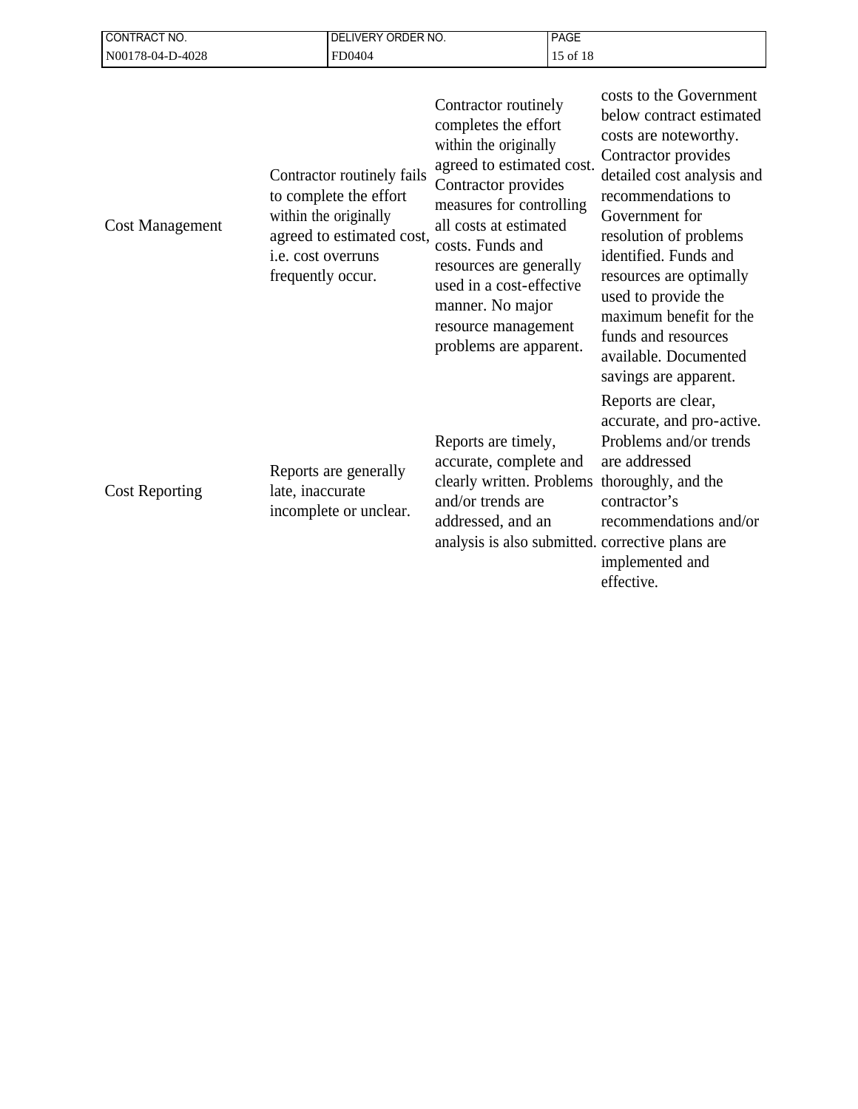| <b>CONTRACT NO.</b>    | <b>DELIVERY ORDER NO.</b>                                                                                                                             |                                                                                                                                                                                                                                                                                                                                 | <b>PAGE</b> |                                                                                                                                                                                                                                                                                                                                                                                    |
|------------------------|-------------------------------------------------------------------------------------------------------------------------------------------------------|---------------------------------------------------------------------------------------------------------------------------------------------------------------------------------------------------------------------------------------------------------------------------------------------------------------------------------|-------------|------------------------------------------------------------------------------------------------------------------------------------------------------------------------------------------------------------------------------------------------------------------------------------------------------------------------------------------------------------------------------------|
| N00178-04-D-4028       | FD0404                                                                                                                                                |                                                                                                                                                                                                                                                                                                                                 | 15 of 18    |                                                                                                                                                                                                                                                                                                                                                                                    |
| <b>Cost Management</b> | Contractor routinely fails<br>to complete the effort<br>within the originally<br>agreed to estimated cost,<br>i.e. cost overruns<br>frequently occur. | Contractor routinely<br>completes the effort<br>within the originally<br>agreed to estimated cost.<br>Contractor provides<br>measures for controlling<br>all costs at estimated<br>costs. Funds and<br>resources are generally<br>used in a cost-effective<br>manner. No major<br>resource management<br>problems are apparent. |             | costs to the Government<br>below contract estimated<br>costs are noteworthy.<br>Contractor provides<br>detailed cost analysis and<br>recommendations to<br>Government for<br>resolution of problems<br>identified. Funds and<br>resources are optimally<br>used to provide the<br>maximum benefit for the<br>funds and resources<br>available. Documented<br>savings are apparent. |
| <b>Cost Reporting</b>  | Reports are generally<br>late, inaccurate<br>incomplete or unclear.                                                                                   | Reports are timely,<br>accurate, complete and<br>clearly written. Problems<br>and/or trends are<br>addressed, and an                                                                                                                                                                                                            |             | Reports are clear,<br>accurate, and pro-active.<br>Problems and/or trends<br>are addressed<br>thoroughly, and the<br>contractor's<br>recommendations and/or<br>analysis is also submitted. corrective plans are<br>implemented and<br>effective.                                                                                                                                   |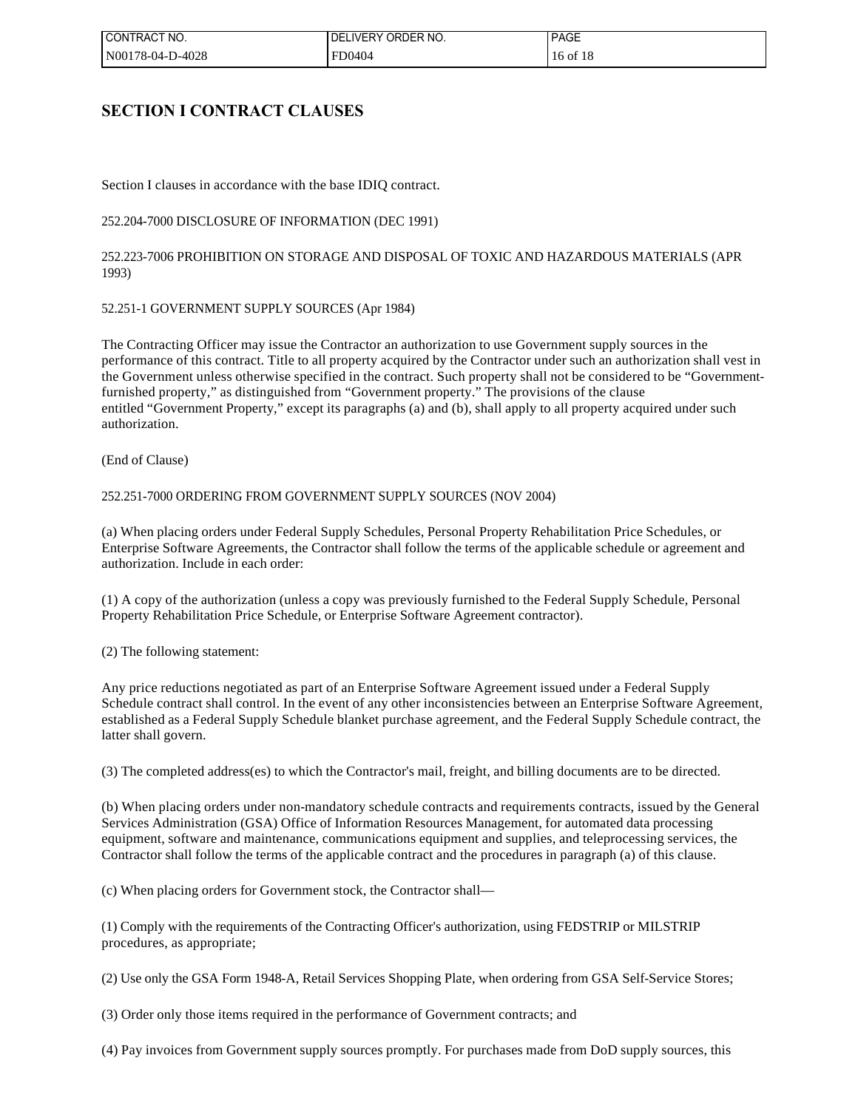| I CONTRACT NO.   | LIVERY ORDER NO.<br>DEI | <b>PAGE</b> |
|------------------|-------------------------|-------------|
| N00178-04-D-4028 | FD0404                  | 16 of 18    |

## **SECTION I CONTRACT CLAUSES**

Section I clauses in accordance with the base IDIQ contract.

252.204-7000 DISCLOSURE OF INFORMATION (DEC 1991)

252.223-7006 PROHIBITION ON STORAGE AND DISPOSAL OF TOXIC AND HAZARDOUS MATERIALS (APR 1993)

52.251-1 GOVERNMENT SUPPLY SOURCES (Apr 1984)

The Contracting Officer may issue the Contractor an authorization to use Government supply sources in the performance of this contract. Title to all property acquired by the Contractor under such an authorization shall vest in the Government unless otherwise specified in the contract. Such property shall not be considered to be "Governmentfurnished property," as distinguished from "Government property." The provisions of the clause entitled "Government Property," except its paragraphs (a) and (b), shall apply to all property acquired under such authorization.

(End of Clause)

#### 252.251-7000 ORDERING FROM GOVERNMENT SUPPLY SOURCES (NOV 2004)

(a) When placing orders under Federal Supply Schedules, Personal Property Rehabilitation Price Schedules, or Enterprise Software Agreements, the Contractor shall follow the terms of the applicable schedule or agreement and authorization. Include in each order:

(1) A copy of the authorization (unless a copy was previously furnished to the Federal Supply Schedule, Personal Property Rehabilitation Price Schedule, or Enterprise Software Agreement contractor).

(2) The following statement:

Any price reductions negotiated as part of an Enterprise Software Agreement issued under a Federal Supply Schedule contract shall control. In the event of any other inconsistencies between an Enterprise Software Agreement, established as a Federal Supply Schedule blanket purchase agreement, and the Federal Supply Schedule contract, the latter shall govern.

(3) The completed address(es) to which the Contractor's mail, freight, and billing documents are to be directed.

(b) When placing orders under non-mandatory schedule contracts and requirements contracts, issued by the General Services Administration (GSA) Office of Information Resources Management, for automated data processing equipment, software and maintenance, communications equipment and supplies, and teleprocessing services, the Contractor shall follow the terms of the applicable contract and the procedures in paragraph (a) of this clause.

(c) When placing orders for Government stock, the Contractor shall—

(1) Comply with the requirements of the Contracting Officer's authorization, using FEDSTRIP or MILSTRIP procedures, as appropriate;

(2) Use only the GSA Form 1948-A, Retail Services Shopping Plate, when ordering from GSA Self-Service Stores;

(3) Order only those items required in the performance of Government contracts; and

(4) Pay invoices from Government supply sources promptly. For purchases made from DoD supply sources, this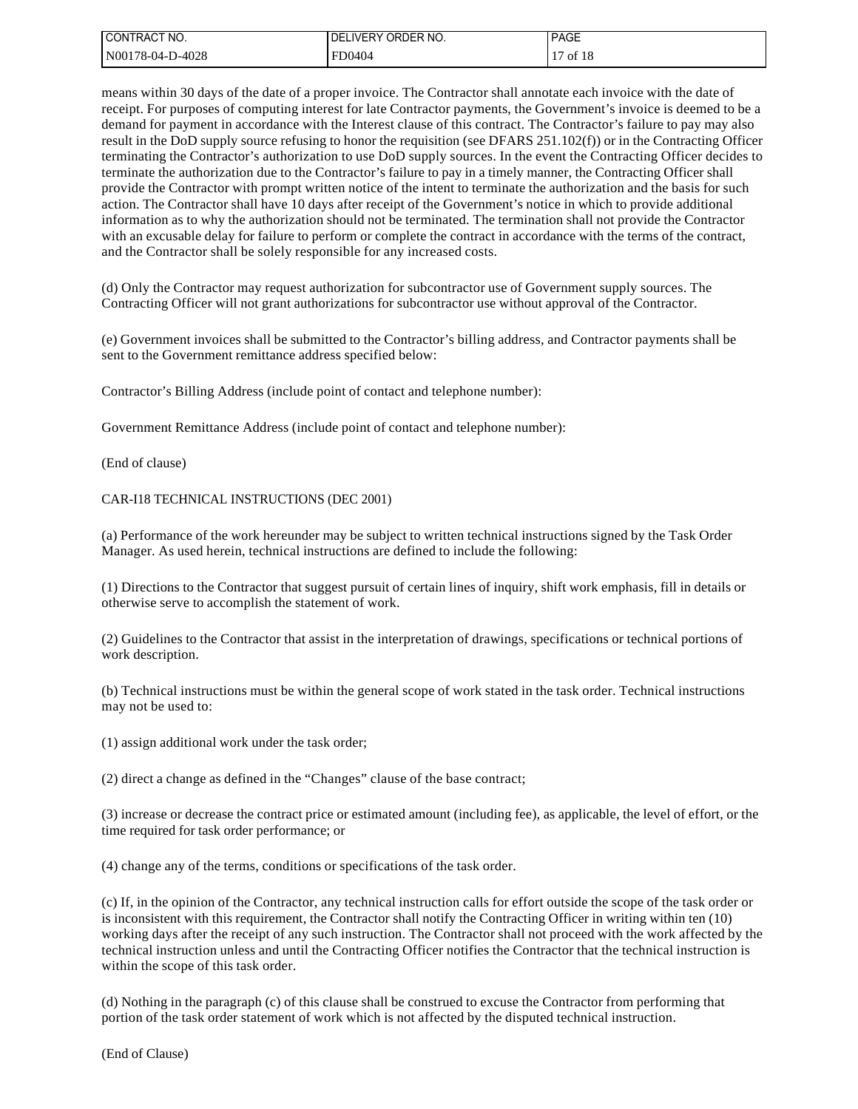| I CONTRACT NO.   | <b>UVERY ORDER NO.</b><br>DEL | <b>PAGE</b> |
|------------------|-------------------------------|-------------|
| N00178-04-D-4028 | FD0404                        | 17 of 18    |

means within 30 days of the date of a proper invoice. The Contractor shall annotate each invoice with the date of receipt. For purposes of computing interest for late Contractor payments, the Government's invoice is deemed to be a demand for payment in accordance with the Interest clause of this contract. The Contractor's failure to pay may also result in the DoD supply source refusing to honor the requisition (see DFARS 251.102(f)) or in the Contracting Officer terminating the Contractor's authorization to use DoD supply sources. In the event the Contracting Officer decides to terminate the authorization due to the Contractor's failure to pay in a timely manner, the Contracting Officer shall provide the Contractor with prompt written notice of the intent to terminate the authorization and the basis for such action. The Contractor shall have 10 days after receipt of the Government's notice in which to provide additional information as to why the authorization should not be terminated. The termination shall not provide the Contractor with an excusable delay for failure to perform or complete the contract in accordance with the terms of the contract, and the Contractor shall be solely responsible for any increased costs.

(d) Only the Contractor may request authorization for subcontractor use of Government supply sources. The Contracting Officer will not grant authorizations for subcontractor use without approval of the Contractor.

(e) Government invoices shall be submitted to the Contractor's billing address, and Contractor payments shall be sent to the Government remittance address specified below:

Contractor's Billing Address (include point of contact and telephone number):

Government Remittance Address (include point of contact and telephone number):

(End of clause)

CAR-I18 TECHNICAL INSTRUCTIONS (DEC 2001)

(a) Performance of the work hereunder may be subject to written technical instructions signed by the Task Order Manager. As used herein, technical instructions are defined to include the following:

(1) Directions to the Contractor that suggest pursuit of certain lines of inquiry, shift work emphasis, fill in details or otherwise serve to accomplish the statement of work.

(2) Guidelines to the Contractor that assist in the interpretation of drawings, specifications or technical portions of work description.

(b) Technical instructions must be within the general scope of work stated in the task order. Technical instructions may not be used to:

(1) assign additional work under the task order;

(2) direct a change as defined in the "Changes" clause of the base contract;

(3) increase or decrease the contract price or estimated amount (including fee), as applicable, the level of effort, or the time required for task order performance; or

(4) change any of the terms, conditions or specifications of the task order.

(c) If, in the opinion of the Contractor, any technical instruction calls for effort outside the scope of the task order or is inconsistent with this requirement, the Contractor shall notify the Contracting Officer in writing within ten (10) working days after the receipt of any such instruction. The Contractor shall not proceed with the work affected by the technical instruction unless and until the Contracting Officer notifies the Contractor that the technical instruction is within the scope of this task order.

(d) Nothing in the paragraph (c) of this clause shall be construed to excuse the Contractor from performing that portion of the task order statement of work which is not affected by the disputed technical instruction.